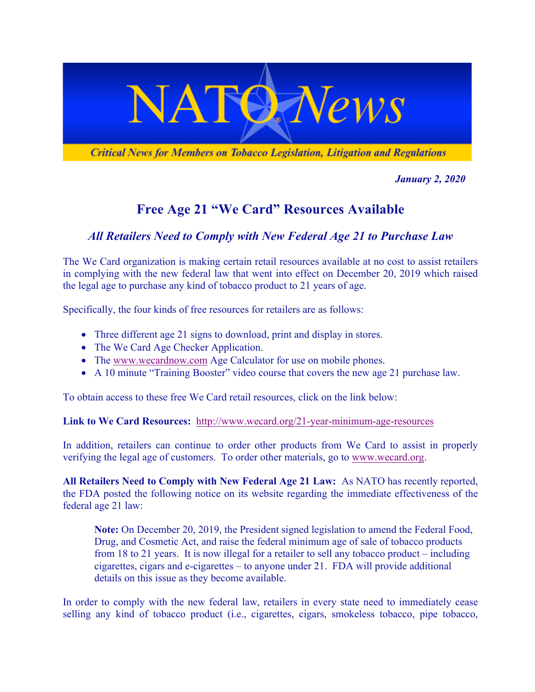

*January 2, 2020*

## **Free Age 21 "We Card" Resources Available**

## *All Retailers Need to Comply with New Federal Age 21 to Purchase Law*

The We Card organization is making certain retail resources available at no cost to assist retailers in complying with the new federal law that went into effect on December 20, 2019 which raised the legal age to purchase any kind of tobacco product to 21 years of age.

Specifically, the four kinds of free resources for retailers are as follows:

- Three different age 21 signs to download, print and display in stores.
- The We Card Age Checker Application.
- The www.wecardnow.com Age Calculator for use on mobile phones.
- A 10 minute "Training Booster" video course that covers the new age 21 purchase law.

To obtain access to these free We Card retail resources, click on the link below:

**Link to We Card Resources:** http://www.wecard.org/21-year-minimum-age-resources

In addition, retailers can continue to order other products from We Card to assist in properly verifying the legal age of customers. To order other materials, go to www.wecard.org.

**All Retailers Need to Comply with New Federal Age 21 Law:** As NATO has recently reported, the FDA posted the following notice on its website regarding the immediate effectiveness of the federal age 21 law:

**Note:** On December 20, 2019, the President signed legislation to amend the Federal Food, Drug, and Cosmetic Act, and raise the federal minimum age of sale of tobacco products from 18 to 21 years. It is now illegal for a retailer to sell any tobacco product – including cigarettes, cigars and e-cigarettes – to anyone under 21. FDA will provide additional details on this issue as they become available.

In order to comply with the new federal law, retailers in every state need to immediately cease selling any kind of tobacco product (i.e., cigarettes, cigars, smokeless tobacco, pipe tobacco,